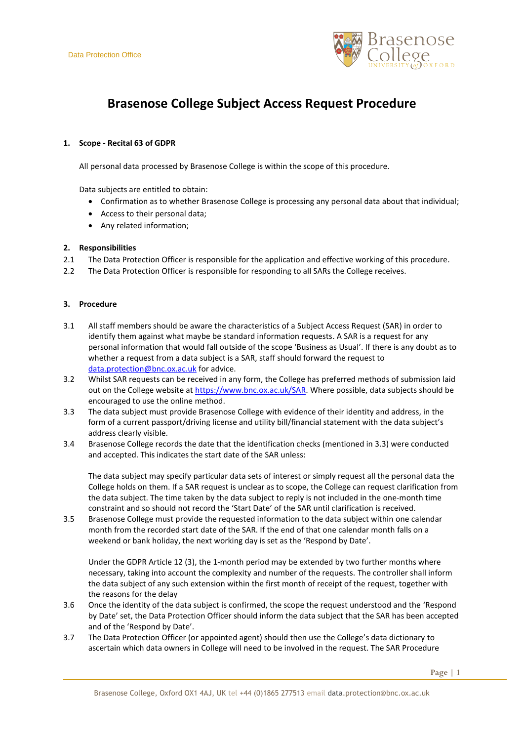

# **Brasenose College Subject Access Request Procedure**

## **1. Scope - Recital 63 of GDPR**

All personal data processed by Brasenose College is within the scope of this procedure.

Data subjects are entitled to obtain:

- Confirmation as to whether Brasenose College is processing any personal data about that individual;
- Access to their personal data;
- Any related information;

### **2. Responsibilities**

- 2.1 The Data Protection Officer is responsible for the application and effective working of this procedure.
- 2.2 The Data Protection Officer is responsible for responding to all SARs the College receives.

## **3. Procedure**

- 3.1 All staff members should be aware the characteristics of a Subject Access Request (SAR) in order to identify them against what maybe be standard information requests. A SAR is a request for any personal information that would fall outside of the scope 'Business as Usual'. If there is any doubt as to whether a request from a data subject is a SAR, staff should forward the request to [data.protection@bnc.ox.ac.uk](mailto:data.protection@bnc.ox.ac.uk) for advice.
- 3.2 Whilst SAR requests can be received in any form, the College has preferred methods of submission laid out on the College website at [https://www.bnc.ox.ac.uk/SAR.](https://www.bnc.ox.ac.uk/SAR) Where possible, data subjects should be encouraged to use the online method.
- 3.3 The data subject must provide Brasenose College with evidence of their identity and address, in the form of a current passport/driving license and utility bill/financial statement with the data subject's address clearly visible.
- 3.4 Brasenose College records the date that the identification checks (mentioned in 3.3) were conducted and accepted. This indicates the start date of the SAR unless:

The data subject may specify particular data sets of interest or simply request all the personal data the College holds on them. If a SAR request is unclear as to scope, the College can request clarification from the data subject. The time taken by the data subject to reply is not included in the one-month time constraint and so should not record the 'Start Date' of the SAR until clarification is received.

3.5 Brasenose College must provide the requested information to the data subject within one calendar month from the recorded start date of the SAR. If the end of that one calendar month falls on a weekend or bank holiday, the next working day is set as the 'Respond by Date'.

Under the GDPR Article 12 (3), the 1-month period may be extended by two further months where necessary, taking into account the complexity and number of the requests. The controller shall inform the data subject of any such extension within the first month of receipt of the request, together with the reasons for the delay

- 3.6 Once the identity of the data subject is confirmed, the scope the request understood and the 'Respond by Date' set, the Data Protection Officer should inform the data subject that the SAR has been accepted and of the 'Respond by Date'.
- 3.7 The Data Protection Officer (or appointed agent) should then use the College's data dictionary to ascertain which data owners in College will need to be involved in the request. The SAR Procedure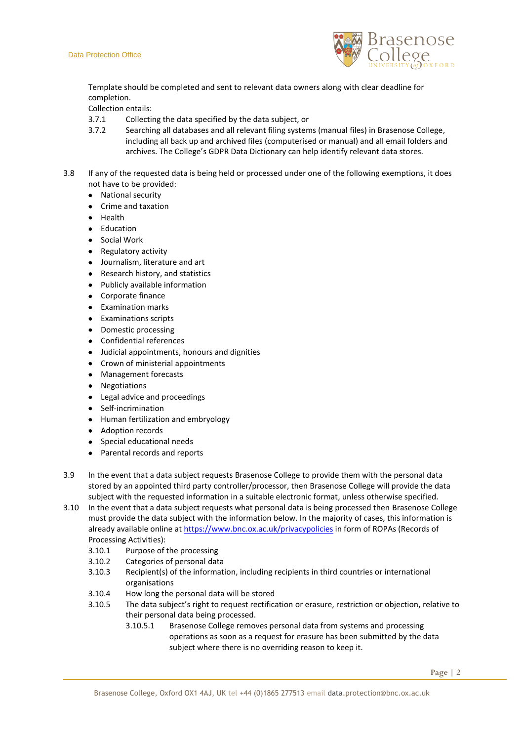

Template should be completed and sent to relevant data owners along with clear deadline for completion.

Collection entails:

- 3.7.1 Collecting the data specified by the data subject, or
- 3.7.2 Searching all databases and all relevant filing systems (manual files) in Brasenose College, including all back up and archived files (computerised or manual) and all email folders and archives. The College's GDPR Data Dictionary can help identify relevant data stores.
- 3.8 If any of the requested data is being held or processed under one of the following exemptions, it does not have to be provided:
	- National security
	- Crime and taxation
	- Health
	- Education
	- Social Work
	- Regulatory activity
	- Journalism, literature and art
	- Research history, and statistics
	- Publicly available information
	- Corporate finance
	- **•** Examination marks
	- **•** Examinations scripts
	- Domestic processing
	- Confidential references
	- Judicial appointments, honours and dignities
	- Crown of ministerial appointments
	- Management forecasts
	- Negotiations
	- Legal advice and proceedings
	- Self-incrimination
	- Human fertilization and embryology
	- Adoption records
	- Special educational needs
	- Parental records and reports
- 3.9 In the event that a data subject requests Brasenose College to provide them with the personal data stored by an appointed third party controller/processor, then Brasenose College will provide the data subject with the requested information in a suitable electronic format, unless otherwise specified.
- 3.10 In the event that a data subject requests what personal data is being processed then Brasenose College must provide the data subject with the information below. In the majority of cases, this information is already available online at<https://www.bnc.ox.ac.uk/privacypolicies> in form of ROPAs (Records of Processing Activities):
	- 3.10.1 Purpose of the processing
	- 3.10.2 Categories of personal data
	- 3.10.3 Recipient(s) of the information, including recipients in third countries or international organisations
	- 3.10.4 How long the personal data will be stored
	- 3.10.5 The data subject's right to request rectification or erasure, restriction or objection, relative to their personal data being processed.
		- 3.10.5.1 Brasenose College removes personal data from systems and processing operations as soon as a request for erasure has been submitted by the data subject where there is no overriding reason to keep it.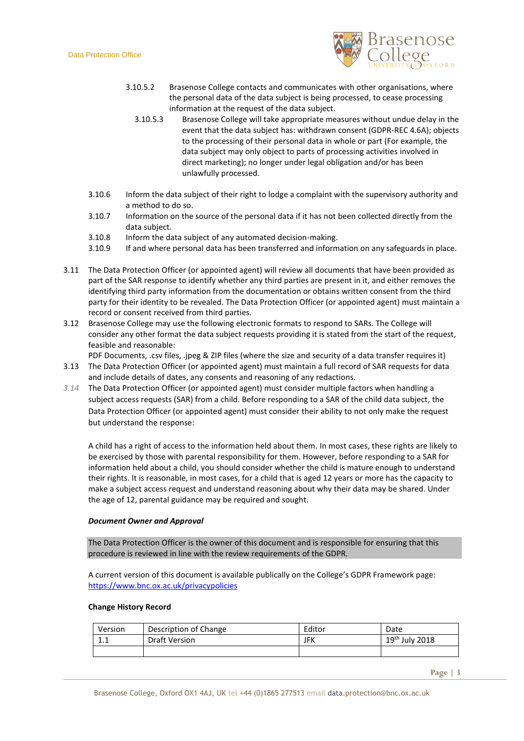

- 3.10.5.2 Brasenose College contacts and communicates with other organisations, where the personal data of the data subject is being processed, to cease processing information at the request of the data subject.
	- 3.10.5.3 Brasenose College will take appropriate measures without undue delay in the event that the data subject has: withdrawn consent (GDPR-REC 4.6A); objects to the processing of their personal data in whole or part (For example, the data subject may only object to parts of processing activities involved in direct marketing); no longer under legal obligation and/or has been unlawfully processed.
- 3.10.6 Inform the data subject of their right to lodge a complaint with the supervisory authority and a method to do so.
- 3.10.7 Information on the source of the personal data if it has not been collected directly from the data subject.
- 3.10.8 Inform the data subject of any automated decision-making.
- 3.10.9 If and where personal data has been transferred and information on any safeguards in place.
- 3.11 The Data Protection Officer (or appointed agent) will review all documents that have been provided as part of the SAR response to identify whether any third parties are present in it, and either removes the identifying third party information from the documentation or obtains written consent from the third party for their identity to be revealed. The Data Protection Officer (or appointed agent) must maintain a record or consent received from third parties.
- 3.12 Brasenose College may use the following electronic formats to respond to SARs. The College will consider any other format the data subject requests providing it is stated from the start of the request, feasible and reasonable:

PDF Documents, .csv files, .jpeg & ZIP files (where the size and security of a data transfer requires it)

- 3.13 The Data Protection Officer (or appointed agent) must maintain a full record of SAR requests for data and include details of dates, any consents and reasoning of any redactions.
- *3.14* The Data Protection Officer (or appointed agent) must consider multiple factors when handling a subject access requests (SAR) from a child. Before responding to a SAR of the child data subject, the Data Protection Officer (or appointed agent) must consider their ability to not only make the request but understand the response:

A child has a right of access to the information held about them. In most cases, these rights are likely to be exercised by those with parental responsibility for them. However, before responding to a SAR for information held about a child, you should consider whether the child is mature enough to understand their rights. It is reasonable, in most cases, for a child that is aged 12 years or more has the capacity to make a subject access request and understand reasoning about why their data may be shared. Under the age of 12, parental guidance may be required and sought.

#### *Document Owner and Approval*

The Data Protection Officer is the owner of this document and is responsible for ensuring that this procedure is reviewed in line with the review requirements of the GDPR.

A current version of this document is available publically on the College's GDPR Framework page: <https://www.bnc.ox.ac.uk/privacypolicies>

#### **Change History Record**

| Version             | Description of Change | Editor | Date             |
|---------------------|-----------------------|--------|------------------|
| $\mathbf{A}$<br>ᆠᆞᆠ | Draft Version         | JFK    | $19th$ July 2018 |
|                     |                       |        |                  |